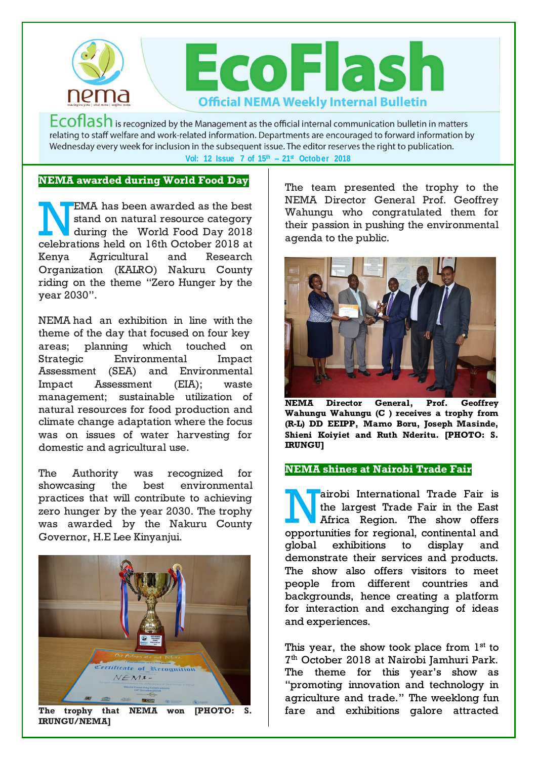

Ecoflash is recognized by the Management as the official internal communication bulletin in matters relating to staff welfare and work-related information. Departments are encouraged to forward information by Wednesday every week for inclusion in the subsequent issue. The editor reserves the right to publication. **Vol: 12 Issue 7 of 15th – 21st October 2018**

## **NEMA awarded during World Food Day**

EMA has been awarded as the best stand on natural resource category during the World Food Day 2018 EMA has been awarded as the best<br>stand on natural resource category<br>during the World Food Day 2018<br>celebrations held on 16th October 2018 at Kenya Agricultural and Research Organization (KALRO) Nakuru County riding on the theme "Zero Hunger by the year 2030".

NEMA had an exhibition in line with the theme of the day that focused on four key areas; planning which touched on Strategic Environmental Impact Assessment (SEA) and Environmental Impact Assessment (EIA); waste management; sustainable utilization of natural resources for food production and climate change adaptation where the focus was on issues of water harvesting for domestic and agricultural use.

The Authority was recognized for showcasing the best environmental practices that will contribute to achieving zero hunger by the year 2030. The trophy was awarded by the Nakuru County Governor, H.E Lee Kinyanjui.



**The trophy that NEMA won [PHOTO: S. IRUNGU/NEMA]** 

The team presented the trophy to the NEMA Director General Prof. Geoffrey Wahungu who congratulated them for their passion in pushing the environmental agenda to the public.



**NEMA Director General, Prof. Geoffrey Wahungu Wahungu (C ) receives a trophy from (R-L) DD EEIPP, Mamo Boru, Joseph Masinde, Shieni Koiyiet and Ruth Nderitu. [PHOTO: S. IRUNGU]**

## **NEMA shines at Nairobi Trade Fair**

airobi International Trade Fair is the largest Trade Fair in the East Africa Region. The show offers airobi International Trade Fair is<br>the largest Trade Fair in the East<br>Africa Region. The show offers<br>opportunities for regional, continental and global exhibitions to display and demonstrate their services and products. The show also offers visitors to meet people from different countries and backgrounds, hence creating a platform for interaction and exchanging of ideas and experiences.

This year, the show took place from  $1<sup>st</sup>$  to 7 th October 2018 at Nairobi Jamhuri Park. The theme for this year's show as "promoting innovation and technology in agriculture and trade." The weeklong fun fare and exhibitions galore attracted